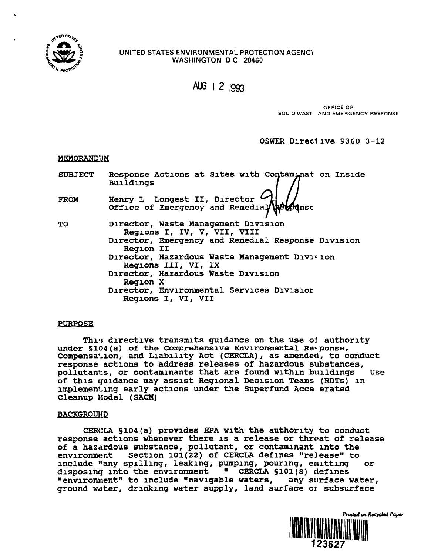

# UNITED STATES ENVIRONMENTAL PROTECTION AGENCY WASHINGTON D C 20460

AUG | 2 1993

OFFICE OF SOLID WAST AND EMERGENCY RESPONSE

OSWER Dired ive 9360 3-12

# MEMORANDUM

| <b>SUBJECT</b> | Response Actions at Sites with Contaminat on Inside<br><b>Buildings</b>                                                                                                                                                                                                                                                                   |
|----------------|-------------------------------------------------------------------------------------------------------------------------------------------------------------------------------------------------------------------------------------------------------------------------------------------------------------------------------------------|
| <b>FROM</b>    | Henry L Longest II, Director (2)                                                                                                                                                                                                                                                                                                          |
| TO             | Director, Waste Management Division<br>Regions I, IV, V, VII, VIII<br>Director, Emergency and Remedial Response Division<br>Reqion II<br>Director, Hazardous Waste Management Divition<br>Regions III, VI, IX<br>Director, Hazardous Waste Division<br><b>Region X</b><br>Director, Environmental Services Division<br>Regions I, VI, VII |

# PURPOSE

This directive transmits guidance on the use ol authority under \$104(a) of the Comprehensive Environmental Response, Compensation, and Liability Act (CERCLA), as amended, to conduct response actions to address releases of hazardous substances, pollutants, or contaminants that are found within buildings Use of this guidance may assist Regional Decision Teams (RDTs) in implementing early actions under the Superfund Acce erated Cleanup Model (SACM)

# BACKGROUND

CERCLA §104(a) provides EPA with the authority to conduct response actions whenever there is a release or threat of release of a hazardous substance, pollutant, or contaminant into the environment Section 101(22) of CERCLA defines "release" to Section 101(22) of CERCLA defines "release" to include "any spilling, leaking, pumping, pouring, eiutting or disposing into the environment <sup>"</sup> CERCLA \$101(8) defines<br>"environment" to include "navigable waters, any surface water, "environment" to include "navigable waters, ground water, drinking water supply, land surface 01 subsurface

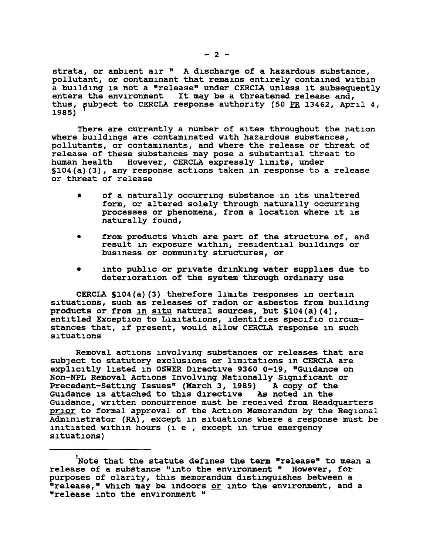strata, or ambient air " A discharge of a hazardous substance, pollutant, or contaminant that remains entirely contained within a building is not a "release" under CERCLA unless it subsequently enters the environment It may be a threatened release and, thus, subject to CERCLA response authority (50 FR 13462, April 4, 1985)

There are currently a number of sites throughout the nation where buildings are contaminated with hazardous substances, pollutants, or contaminants, and where the release or threat of release of these substances may pose a substantial threat to human health However, CERCLA expressly limits, under §104(a)(3), any response actions taken in response to a release or threat of release

- of a naturally occurring substance in its unaltered form, or altered solely through naturally occurring processes or phenomena, from a location where it is naturally found,
- from products which are part of the structure of, and result in exposure within, residential buildings or business or community structures, or
- into public or private drinking water supplies due to deterioration of the system through ordinary use

CERCLA S104(a)(3) therefore limits responses in certain situations, such as releases of radon or asbestos from building products or from in situ natural sources, but \$104(a)(4), entitled Exception to Limitations, identifies specific circumstances that, if present, would allow CERCLA response in such situations

Removal actions involving substances or releases that are subject to statutory exclusions or limitations in CERCLA are explicitly listed in OSWER Directive 9360 0-19, "Guidance on Non-NPL Removal Actions Involving Nationally Significant or Precedent-Setting Issues" (March 3, 1989) A copy of the Guidance is attached to this directive As noted in the Guidance is attached to this directive Guidance, written concurrence must be received from Headquarters prior to formal approval of the Action Memorandum by the Regional Administrator (RA), except in situations where a response must be initiated within hours (i e , except in true emergency situations)

Note that the statute defines the term "release" to mean a release of a substance "into the environment " However, for purposes of clarity, this memorandum distinguishes between a "release," which may be indoors or into the environment, and a "release into the environment "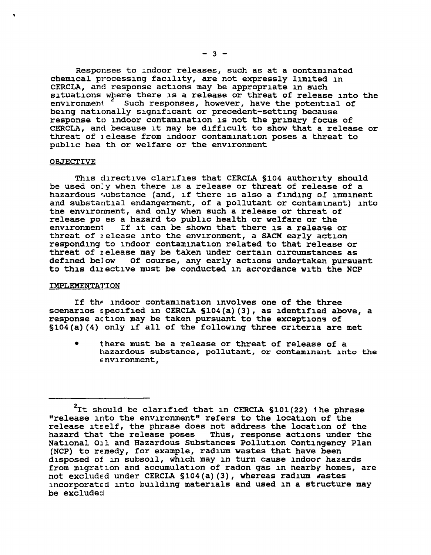Responses to indoor releases, such as at a contaminated chemical processing facility, are not expressly limited in CERCLA, and response actions may be appropriate in such situations where there is a release or threat of release into the environment <sup>2</sup> Such responses, however, have the potential of Such responses, however, have the potential of being nationally significant or precedent-setting because response to indoor contamination is not the primary focus of CERCLA, and because it may be difficult to show that a release or threat of i elease from indoor contamination poses a threat to public hea th or welfare or the environment

#### **OBJECTIVE**

This directive clarifies that CERCLA §104 authority should be used on]y when there is a release or threat of release of a hazardous substance (and, if there is also a finding of imminent and substantial endangerment, of a pollutant or contaminant) into the environment, and only when such a release or threat of release po es a hazard to public health or welfare or the environment If it can be shown that there is a release If it can be shown that there is a release or threat of ielease into the environment, a SACM early action responding to indoor contamination related to that release or threat of ielease may be taken under certain circumstances as Of course, any early actions undertaken pursuant to this duective must be conducted in accordance with the NCP

### IMPLEMENTATION

If the indoor contamination involves one of the three scenarios specified in CERCLA §104(a)(3), as identified above, a response action may be taken pursuant to the exceptions of §104(a)(4) only if all of the following three criteria are met

• there must be a release or threat of release of a hazardous substance, pollutant, or contaminant into the e nvironment,

 $2$ It should be clarified that in CERCLA §101(22) the phrase "release into the environment" refers to the location of the release itself, the phrase does not address the location of the hazard that the release poses Thus, response actions under the National Oil and Hazardous Substances Pollution Contingency Plan (NCP) to remedy, for example, radium wastes that have been disposed of in subsoil, which may in turn cause indoor hazards from migration and accumulation of radon gas in nearby homes, are not excluded under CERCLA §104(a)(3), whereas radium wastes incorporated into building materials and used in a structure may be excluded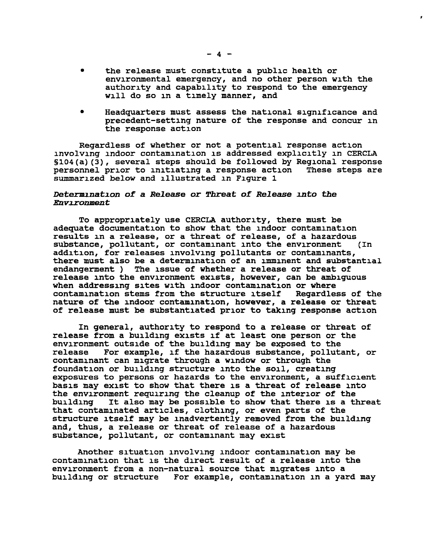the release must constitute a public health or environmental emergency, and no other person with the authority and capability to respond to the emergency will do so in a timely manner, and

• Headquarters must assess the national significance and precedent-setting nature of the response and concur in the response action

Regardless of whether or not a potential response action involving indoor contamination is addressed explicitly in CERCLA  $$104(a)(3)$ , several steps should be followed by Regional response personnel prior to initiating a response action These steps are summarized below and illustrated in Figure 1

### Determination of a Release or Threat of Release into the Environment

To appropriately use CERCLA authority, there must be adequate documentation to show that the indoor contamination results in a release, or a threat of release, of a hazardous<br>substance, pollutant, or contaminant into the environment (In substance, pollutant, or contaminant into the environment addition, for releases involving pollutants or contaminants, there must also be a determination of an imminent and substantial endangerment ) The issue of whether a release or threat of release into the environment exists, however, can be ambiguous when addressing sites with indoor contamination or where<br>contamination stems from the structure itself Regardless of the contamination stems from the structure itself nature of the indoor contamination, however, a release or threat of release must be substantiated prior to taking response action

In general, authority to respond to a release or threat of release from a building exists if at least one person or the environment outside of the building may be exposed to the release For example, if the hazardous substance, pollutant, or contaminant can migrate through a window or through the foundation or building structure into the soil, creating exposures to persons or hazards to the environment, a sufficient basis may exist to show that there is a threat of release into the environment requiring the cleanup of the interior of the<br>building It also may be possible to show that there is a the It also may be possible to show that there is a threat that contaminated articles, clothing, or even parts of the structure itself may be inadvertently removed from the building and, thus, a release or threat of release of a hazardous substance, pollutant, or contaminant may exist

Another situation involving indoor contamination may be contamination that is the direct result of a release into the environment from a non-natural source that migrates into a building or structure For example, contamination in a yard may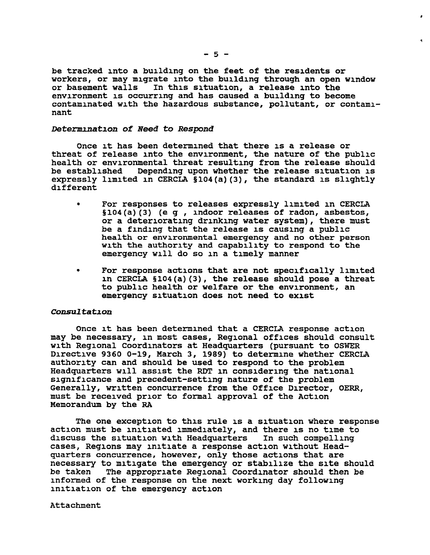be tracked into a building on the feet of the residents or workers, or may migrate into the building through an open window<br>or basement walls In this situation, a release into the In this situation, a release into the environment is occurring and has caused a building to become contaminated with the hazardous substance, pollutant, or contaminant

### Determination of Need to Respond

Once it has been determined that there is a release or threat of release into the environment, the nature of the public health or environmental threat resulting from the release should<br>be established Depending upon whether the release situation is bepending upon whether the release situation is expressly limited in CERCLA §104(a)(3), the standard is slightly different

- For responses to releases expressly limited in CERCLA §104(a)(3) (e g , indoor releases of radon, asbestos, or a deteriorating drinking water system), there must be a finding that the release is causing a public health or environmental emergency and no other person with the authority and capability to respond to the emergency will do so in a timely manner
- For response actions that are not specifically limited in CERCLA §104(a)(3), the release should pose a threat to public health or welfare or the environment, an emergency situation does not need to exist

### Consultation

Once it has been determined that a CERCLA response action may be necessary, in most cases, Regional offices should consult with Regional Coordinators at Headquarters (pursuant to OSWER Directive 9360 0-19, March 3, 1989) to determine whether CERCLA authority can and should be used to respond to the problem Headquarters will assist the RDT in considering the national significance and precedent-setting nature of the problem Generally, written concurrence from the Office Director, OERR, must be received prior to formal approval of the Action Memorandum by the RA

The one exception to this rule is a situation where response action must be initiated immediately, and there is no time to discuss the situation with Headquarters In such compelling discuss the situation with Headquarters cases, Regions may initiate a response action without Headquarters concurrence, however, only those actions that are necessary to mitigate the emergency or stabilize the site should be taken The appropriate Regional Coordinator should then be informed of the response on the next working day following initiation of the emergency action

Attachment

 $\ddot{\phantom{a}}$